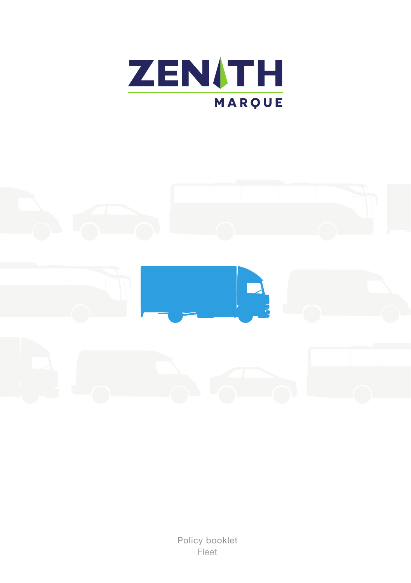



Policy booklet Fleet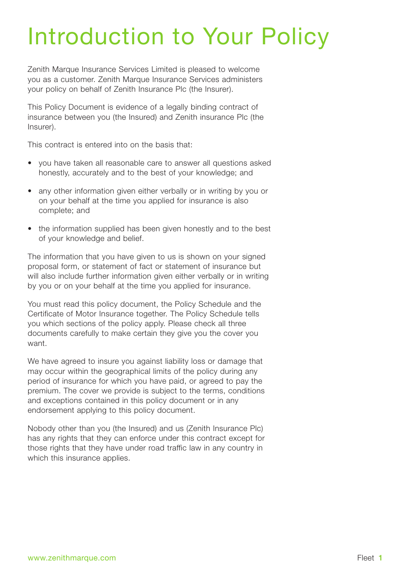# Introduction to Your Policy

Zenith Marque Insurance Services Limited is pleased to welcome you as a customer. Zenith Marque Insurance Services administers your policy on behalf of Zenith Insurance Plc (the Insurer).

This Policy Document is evidence of a legally binding contract of insurance between you (the Insured) and Zenith insurance Plc (the Insurer).

This contract is entered into on the basis that:

- you have taken all reasonable care to answer all questions asked honestly, accurately and to the best of your knowledge; and
- any other information given either verbally or in writing by you or on your behalf at the time you applied for insurance is also complete; and
- the information supplied has been given honestly and to the best of your knowledge and belief.

The information that you have given to us is shown on your signed proposal form, or statement of fact or statement of insurance but will also include further information given either verbally or in writing by you or on your behalf at the time you applied for insurance.

You must read this policy document, the Policy Schedule and the Certificate of Motor Insurance together. The Policy Schedule tells you which sections of the policy apply. Please check all three documents carefully to make certain they give you the cover you want.

We have agreed to insure you against liability loss or damage that may occur within the geographical limits of the policy during any period of insurance for which you have paid, or agreed to pay the premium. The cover we provide is subject to the terms, conditions and exceptions contained in this policy document or in any endorsement applying to this policy document.

Nobody other than you (the Insured) and us (Zenith Insurance Plc) has any rights that they can enforce under this contract except for those rights that they have under road traffic law in any country in which this insurance applies.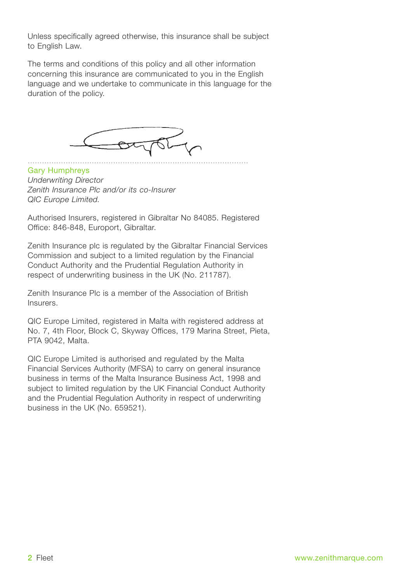Unless specifically agreed otherwise, this insurance shall be subject to English Law.

The terms and conditions of this policy and all other information concerning this insurance are communicated to you in the English language and we undertake to communicate in this language for the duration of the policy.



Gary Humphreys *Underwriting Director Zenith Insurance Plc and/or its co-Insurer QIC Europe Limited.*

Authorised Insurers, registered in Gibraltar No 84085. Registered Office: 846-848, Europort, Gibraltar.

Zenith Insurance plc is regulated by the Gibraltar Financial Services Commission and subject to a limited regulation by the Financial Conduct Authority and the Prudential Regulation Authority in respect of underwriting business in the UK (No. 211787).

Zenith Insurance Plc is a member of the Association of British Insurers.

QIC Europe Limited, registered in Malta with registered address at No. 7, 4th Floor, Block C, Skyway Offices, 179 Marina Street, Pieta, PTA 9042, Malta.

QIC Europe Limited is authorised and regulated by the Malta Financial Services Authority (MFSA) to carry on general insurance business in terms of the Malta Insurance Business Act, 1998 and subject to limited regulation by the UK Financial Conduct Authority and the Prudential Regulation Authority in respect of underwriting business in the UK (No. 659521).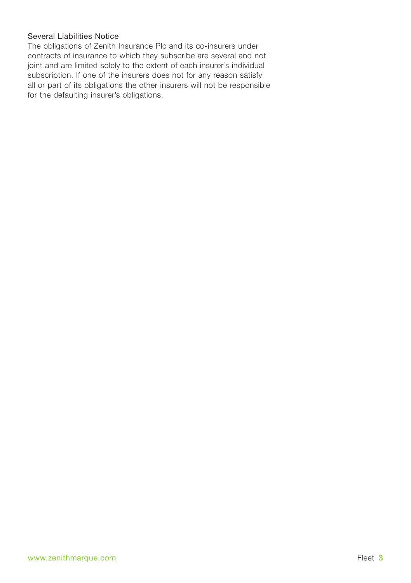## Several Liabilities Notice

The obligations of Zenith Insurance Plc and its co-insurers under contracts of insurance to which they subscribe are several and not joint and are limited solely to the extent of each insurer's individual subscription. If one of the insurers does not for any reason satisfy all or part of its obligations the other insurers will not be responsible for the defaulting insurer's obligations.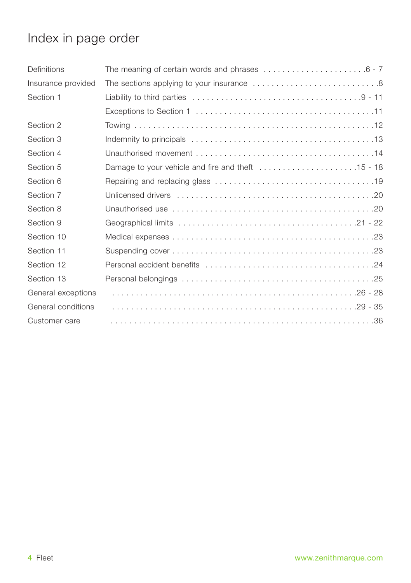## Index in page order

| Definitions        |  |
|--------------------|--|
| Insurance provided |  |
| Section 1          |  |
|                    |  |
| Section 2          |  |
| Section 3          |  |
| Section 4          |  |
| Section 5          |  |
| Section 6          |  |
| Section 7          |  |
| Section 8          |  |
| Section 9          |  |
| Section 10         |  |
| Section 11         |  |
| Section 12         |  |
| Section 13         |  |
| General exceptions |  |
| General conditions |  |
| Customer care      |  |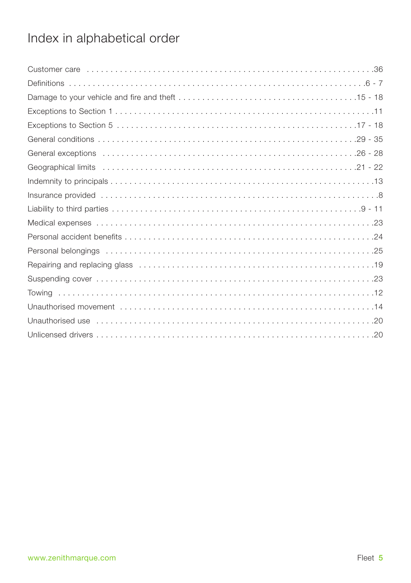## Index in alphabetical order

| Dnauthorised use entertainment and the control of the control of the control of the control of the control of t |
|-----------------------------------------------------------------------------------------------------------------|
|                                                                                                                 |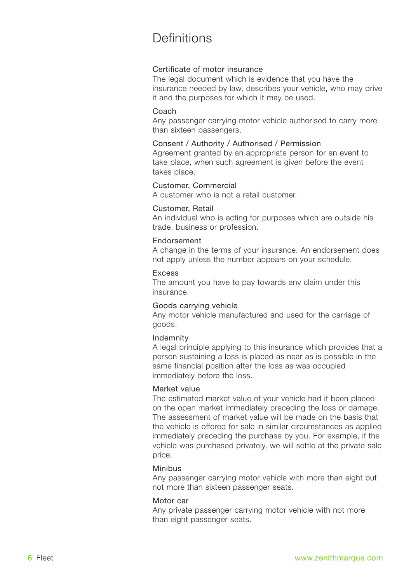## Definitions

### Certificate of motor insurance

The legal document which is evidence that you have the insurance needed by law, describes your vehicle, who may drive it and the purposes for which it may be used.

### Coach

Any passenger carrying motor vehicle authorised to carry more than sixteen passengers.

### Consent / Authority / Authorised / Permission

Agreement granted by an appropriate person for an event to take place, when such agreement is given before the event takes place.

### Customer, Commercial

A customer who is not a retail customer.

### Customer, Retail

An individual who is acting for purposes which are outside his trade, business or profession.

## Endorsement

A change in the terms of your insurance. An endorsement does not apply unless the number appears on your schedule.

### Excess

The amount you have to pay towards any claim under this insurance.

### Goods carrying vehicle

Any motor vehicle manufactured and used for the carriage of goods.

### Indemnity

A legal principle applying to this insurance which provides that a person sustaining a loss is placed as near as is possible in the same financial position after the loss as was occupied immediately before the loss.

### Market value

The estimated market value of your vehicle had it been placed on the open market immediately preceding the loss or damage. The assessment of market value will be made on the basis that the vehicle is offered for sale in similar circumstances as applied immediately preceding the purchase by you. For example, if the vehicle was purchased privately, we will settle at the private sale price.

### Minibus

Any passenger carrying motor vehicle with more than eight but not more than sixteen passenger seats.

### Motor car

Any private passenger carrying motor vehicle with not more than eight passenger seats.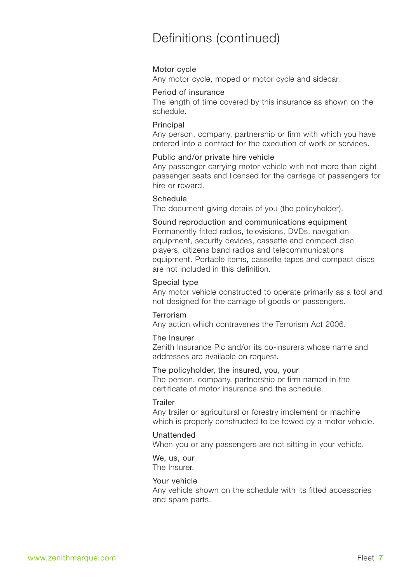## Definitions (continued)

### Motor cycle

Any motor cycle, moped or motor cycle and sidecar.

### Period of insurance

The length of time covered by this insurance as shown on the schedule.

### **Principal**

Any person, company, partnership or firm with which you have entered into a contract for the execution of work or services.

### Public and/or private hire vehicle

Any passenger carrying motor vehicle with not more than eight passenger seats and licensed for the carriage of passengers for hire or reward.

## Schedule

The document giving details of you (the policyholder).

### Sound reproduction and communications equipment Permanently fitted radios, televisions, DVDs, navigation equipment, security devices, cassette and compact disc players, citizens band radios and telecommunications equipment. Portable items, cassette tapes and compact discs are not included in this definition.

### Special type

Any motor vehicle constructed to operate primarily as a tool and not designed for the carriage of goods or passengers.

## Terrorism

Any action which contravenes the Terrorism Act 2006.

### The Insurer

Zenith Insurance Plc and/or its co-insurers whose name and addresses are available on request.

### The policyholder, the insured, you, your

The person, company, partnership or firm named in the certificate of motor insurance and the schedule.

### Trailer

Any trailer or agricultural or forestry implement or machine which is properly constructed to be towed by a motor vehicle.

### Unattended

When you or any passengers are not sitting in your vehicle.

### We, us, our

The Insurer.

## Your vehicle

Any vehicle shown on the schedule with its fitted accessories and spare parts.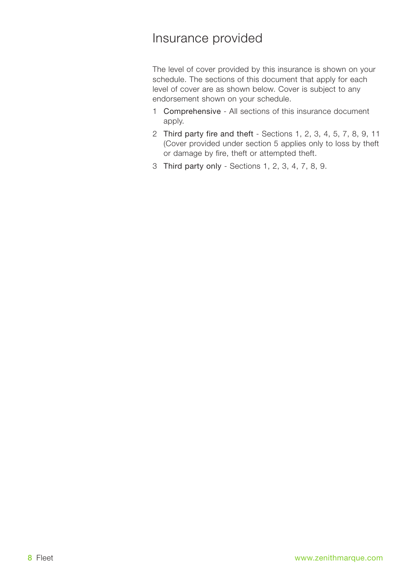## Insurance provided

The level of cover provided by this insurance is shown on your schedule. The sections of this document that apply for each level of cover are as shown below. Cover is subject to any endorsement shown on your schedule.

- 1 Comprehensive All sections of this insurance document apply.
- 2 Third party fire and theft Sections 1, 2, 3, 4, 5, 7, 8, 9, 11 (Cover provided under section 5 applies only to loss by theft or damage by fire, theft or attempted theft.
- 3 Third party only Sections 1, 2, 3, 4, 7, 8, 9.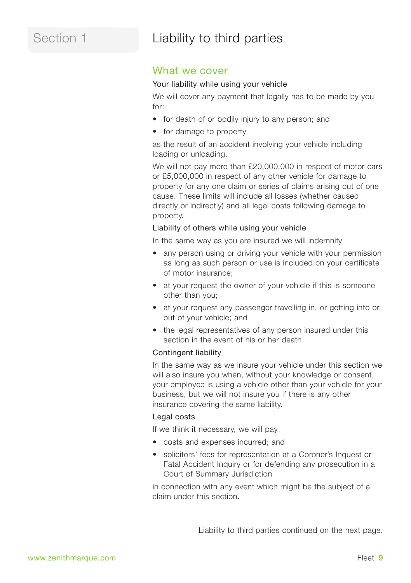## Section 1 **Liability to third parties**

## What we cover

### Your liability while using your vehicle

We will cover any payment that legally has to be made by you for:

- for death of or bodily injury to any person; and
- for damage to property

as the result of an accident involving your vehicle including loading or unloading.

We will not pay more than £20,000,000 in respect of motor cars or £5,000,000 in respect of any other vehicle for damage to property for any one claim or series of claims arising out of one cause. These limits will include all losses (whether caused directly or indirectly) and all legal costs following damage to property.

## Liability of others while using your vehicle

In the same way as you are insured we will indemnify

- any person using or driving your vehicle with your permission as long as such person or use is included on your certificate of motor insurance;
- at your request the owner of your vehicle if this is someone other than you;
- at your request any passenger travelling in, or getting into or out of your vehicle; and
- the legal representatives of any person insured under this section in the event of his or her death.

### Contingent liability

In the same way as we insure your vehicle under this section we will also insure you when, without your knowledge or consent. your employee is using a vehicle other than your vehicle for your business, but we will not insure you if there is any other insurance covering the same liability.

### Legal costs

If we think it necessary, we will pay

- costs and expenses incurred; and
- solicitors' fees for representation at a Coroner's Inquest or Fatal Accident Inquiry or for defending any prosecution in a Court of Summary Jurisdiction

in connection with any event which might be the subject of a claim under this section.

Liability to third parties continued on the next page.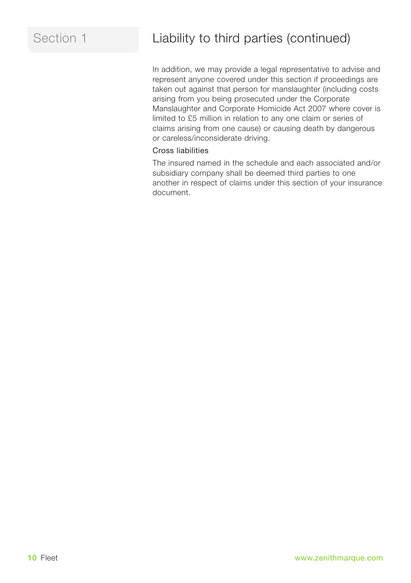## Section 1 **Liability to third parties (continued)**

In addition, we may provide a legal representative to advise and represent anyone covered under this section if proceedings are taken out against that person for manslaughter (including costs arising from you being prosecuted under the Corporate Manslaughter and Corporate Homicide Act 2007 where cover is limited to £5 million in relation to any one claim or series of claims arising from one cause) or causing death by dangerous or careless/inconsiderate driving.

## Cross liabilities

The insured named in the schedule and each associated and/or subsidiary company shall be deemed third parties to one another in respect of claims under this section of your insurance document.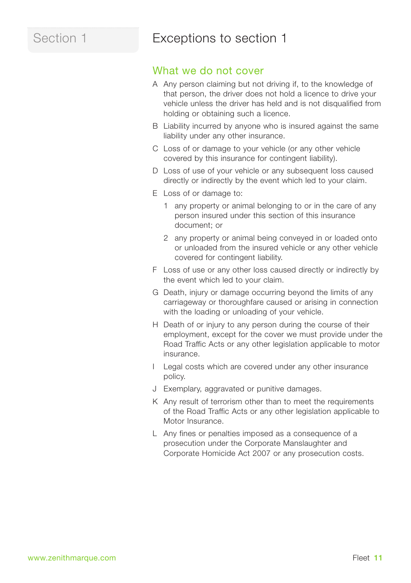## Section 1 **Exceptions to section 1**

## What we do not cover

- A Any person claiming but not driving if, to the knowledge of that person, the driver does not hold a licence to drive your vehicle unless the driver has held and is not disqualified from holding or obtaining such a licence.
- B Liability incurred by anyone who is insured against the same liability under any other insurance.
- C Loss of or damage to your vehicle (or any other vehicle covered by this insurance for contingent liability).
- D Loss of use of your vehicle or any subsequent loss caused directly or indirectly by the event which led to your claim.
- E Loss of or damage to:
	- 1 any property or animal belonging to or in the care of any person insured under this section of this insurance document; or
	- 2 any property or animal being conveyed in or loaded onto or unloaded from the insured vehicle or any other vehicle covered for contingent liability.
- F Loss of use or any other loss caused directly or indirectly by the event which led to your claim.
- G Death, injury or damage occurring beyond the limits of any carriageway or thoroughfare caused or arising in connection with the loading or unloading of your vehicle.
- H Death of or injury to any person during the course of their employment, except for the cover we must provide under the Road Traffic Acts or any other legislation applicable to motor insurance.
- I Legal costs which are covered under any other insurance policy.
- J Exemplary, aggravated or punitive damages.
- K Any result of terrorism other than to meet the requirements of the Road Traffic Acts or any other legislation applicable to Motor Insurance.
- L Any fines or penalties imposed as a consequence of a prosecution under the Corporate Manslaughter and Corporate Homicide Act 2007 or any prosecution costs.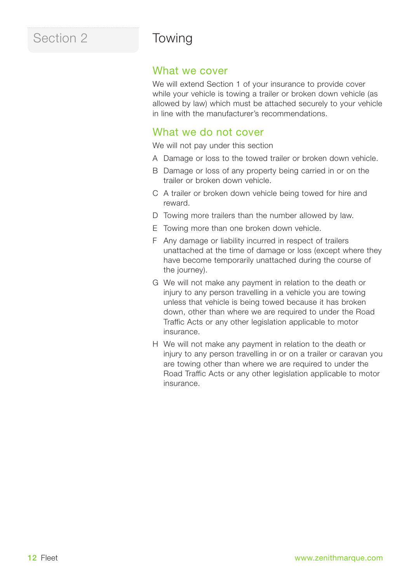## Section 2 Towing

## What we cover

We will extend Section 1 of your insurance to provide cover while your vehicle is towing a trailer or broken down vehicle (as allowed by law) which must be attached securely to your vehicle in line with the manufacturer's recommendations.

## What we do not cover

We will not pay under this section

- A Damage or loss to the towed trailer or broken down vehicle.
- B Damage or loss of any property being carried in or on the trailer or broken down vehicle.
- C A trailer or broken down vehicle being towed for hire and reward.
- D Towing more trailers than the number allowed by law.
- E Towing more than one broken down vehicle.
- F Any damage or liability incurred in respect of trailers unattached at the time of damage or loss (except where they have become temporarily unattached during the course of the journey).
- G We will not make any payment in relation to the death or injury to any person travelling in a vehicle you are towing unless that vehicle is being towed because it has broken down, other than where we are required to under the Road Traffic Acts or any other legislation applicable to motor insurance.
- H We will not make any payment in relation to the death or injury to any person travelling in or on a trailer or caravan you are towing other than where we are required to under the Road Traffic Acts or any other legislation applicable to motor insurance.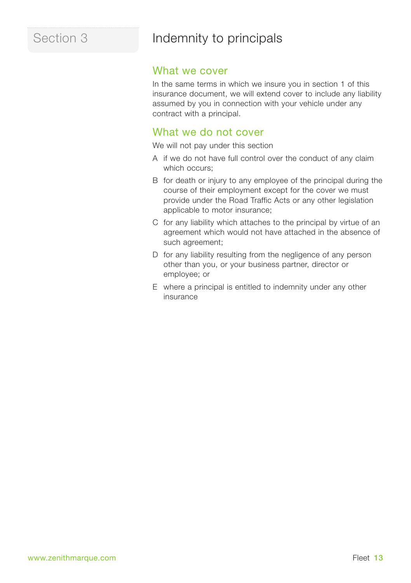## Section 3 **Indemnity to principals**

## What we cover

In the same terms in which we insure you in section 1 of this insurance document, we will extend cover to include any liability assumed by you in connection with your vehicle under any contract with a principal.

## What we do not cover

We will not pay under this section

- A if we do not have full control over the conduct of any claim which occurs;
- B for death or injury to any employee of the principal during the course of their employment except for the cover we must provide under the Road Traffic Acts or any other legislation applicable to motor insurance;
- C for any liability which attaches to the principal by virtue of an agreement which would not have attached in the absence of such agreement;
- D for any liability resulting from the negligence of any person other than you, or your business partner, director or employee; or
- E where a principal is entitled to indemnity under any other insurance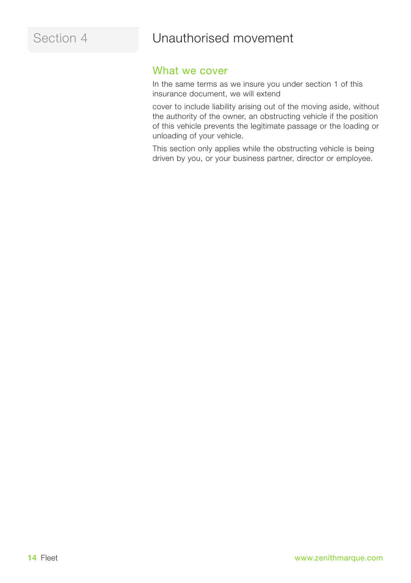## Section 4 **Unauthorised movement**

## What we cover

In the same terms as we insure you under section 1 of this insurance document, we will extend

cover to include liability arising out of the moving aside, without the authority of the owner, an obstructing vehicle if the position of this vehicle prevents the legitimate passage or the loading or unloading of your vehicle.

This section only applies while the obstructing vehicle is being driven by you, or your business partner, director or employee.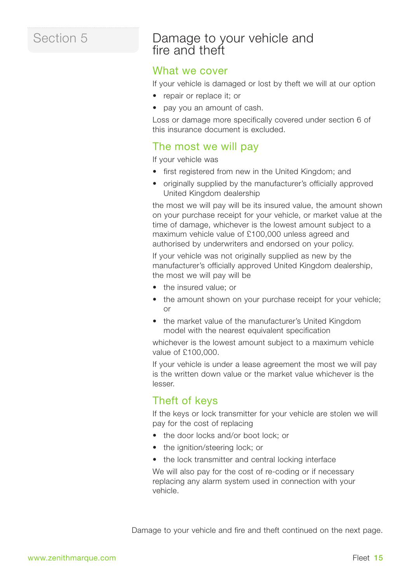## Section 5

## Damage to your vehicle and fire and theft

## What we cover

If your vehicle is damaged or lost by theft we will at our option

- repair or replace it: or
- pay you an amount of cash.

Loss or damage more specifically covered under section 6 of this insurance document is excluded.

## The most we will pay

If your vehicle was

- first registered from new in the United Kingdom; and
- originally supplied by the manufacturer's officially approved United Kingdom dealership

the most we will pay will be its insured value, the amount shown on your purchase receipt for your vehicle, or market value at the time of damage, whichever is the lowest amount subject to a maximum vehicle value of £100,000 unless agreed and authorised by underwriters and endorsed on your policy.

If your vehicle was not originally supplied as new by the manufacturer's officially approved United Kingdom dealership, the most we will pay will be

- the insured value; or
- the amount shown on your purchase receipt for your vehicle: or
- the market value of the manufacturer's United Kingdom model with the nearest equivalent specification

whichever is the lowest amount subject to a maximum vehicle value of £100,000.

If your vehicle is under a lease agreement the most we will pay is the written down value or the market value whichever is the lesser.

## Theft of keys

If the keys or lock transmitter for your vehicle are stolen we will pay for the cost of replacing

- the door locks and/or boot lock; or
- the ignition/steering lock; or
- the lock transmitter and central locking interface

We will also pay for the cost of re-coding or if necessary replacing any alarm system used in connection with your vehicle.

Damage to your vehicle and fire and theft continued on the next page.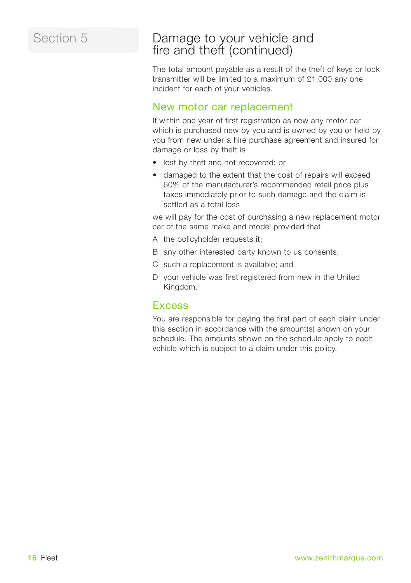## Section 5

## Damage to your vehicle and fire and theft (continued)

The total amount payable as a result of the theft of keys or lock transmitter will be limited to a maximum of £1,000 any one incident for each of your vehicles.

## New motor car replacement

If within one year of first registration as new any motor car which is purchased new by you and is owned by you or held by you from new under a hire purchase agreement and insured for damage or loss by theft is

- lost by theft and not recovered; or
- damaged to the extent that the cost of repairs will exceed 60% of the manufacturer's recommended retail price plus taxes immediately prior to such damage and the claim is settled as a total loss

we will pay for the cost of purchasing a new replacement motor car of the same make and model provided that

- A the policyholder requests it;
- B any other interested party known to us consents;
- C such a replacement is available; and
- D your vehicle was first registered from new in the United Kingdom.

## **Excess**

You are responsible for paying the first part of each claim under this section in accordance with the amount(s) shown on your schedule. The amounts shown on the schedule apply to each vehicle which is subject to a claim under this policy.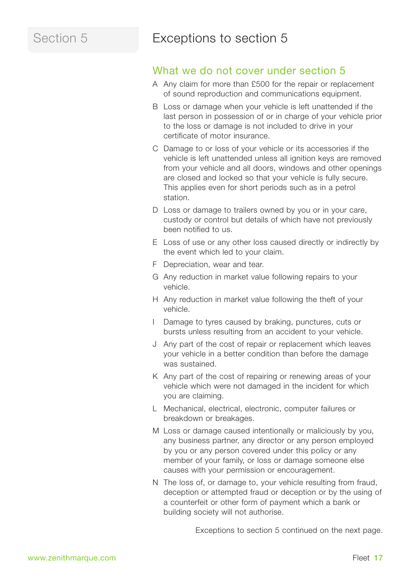## Section 5 **Exceptions to section 5**

## What we do not cover under section 5

- A Any claim for more than £500 for the repair or replacement of sound reproduction and communications equipment.
- B Loss or damage when your vehicle is left unattended if the last person in possession of or in charge of your vehicle prior to the loss or damage is not included to drive in your certificate of motor insurance.
- C Damage to or loss of your vehicle or its accessories if the vehicle is left unattended unless all ignition keys are removed from your vehicle and all doors, windows and other openings are closed and locked so that your vehicle is fully secure. This applies even for short periods such as in a petrol station.
- D Loss or damage to trailers owned by you or in your care, custody or control but details of which have not previously been notified to us.
- E Loss of use or any other loss caused directly or indirectly by the event which led to your claim.
- F Depreciation, wear and tear.
- G Any reduction in market value following repairs to your vehicle.
- H Any reduction in market value following the theft of your vehicle.
- I Damage to tyres caused by braking, punctures, cuts or bursts unless resulting from an accident to your vehicle.
- J Any part of the cost of repair or replacement which leaves your vehicle in a better condition than before the damage was sustained.
- K Any part of the cost of repairing or renewing areas of your vehicle which were not damaged in the incident for which you are claiming.
- L Mechanical, electrical, electronic, computer failures or breakdown or breakages.
- M Loss or damage caused intentionally or maliciously by you, any business partner, any director or any person employed by you or any person covered under this policy or any member of your family, or loss or damage someone else causes with your permission or encouragement.
- N The loss of, or damage to, your vehicle resulting from fraud, deception or attempted fraud or deception or by the using of a counterfeit or other form of payment which a bank or building society will not authorise.

Exceptions to section 5 continued on the next page.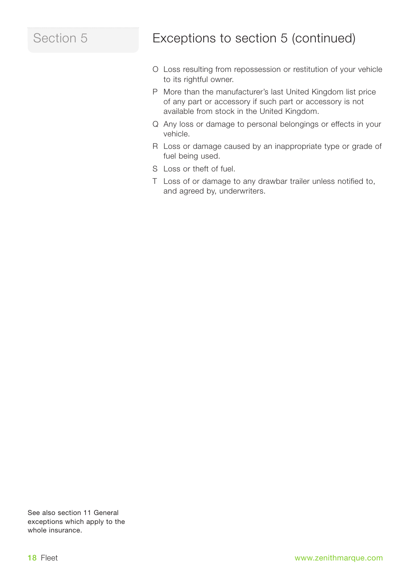## Section 5

## Exceptions to section 5 (continued)

- O Loss resulting from repossession or restitution of your vehicle to its rightful owner.
- P More than the manufacturer's last United Kingdom list price of any part or accessory if such part or accessory is not available from stock in the United Kingdom.
- Q Any loss or damage to personal belongings or effects in your vehicle.
- R Loss or damage caused by an inappropriate type or grade of fuel being used.
- S Loss or theft of fuel.
- T Loss of or damage to any drawbar trailer unless notified to, and agreed by, underwriters.

See also section 11 General exceptions which apply to the whole insurance.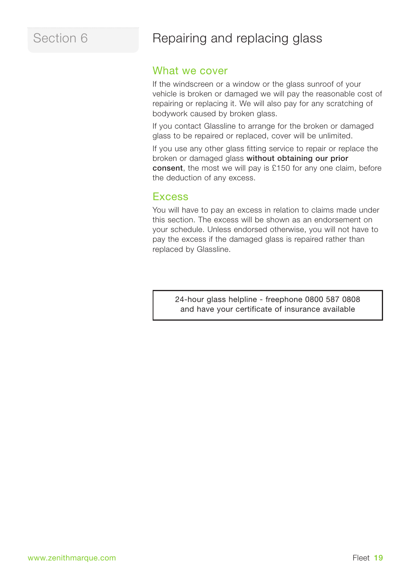## Section 6 Repairing and replacing glass

## What we cover

If the windscreen or a window or the glass sunroof of your vehicle is broken or damaged we will pay the reasonable cost of repairing or replacing it. We will also pay for any scratching of bodywork caused by broken glass.

If you contact Glassline to arrange for the broken or damaged glass to be repaired or replaced, cover will be unlimited.

If you use any other glass fitting service to repair or replace the broken or damaged glass **without obtaining our prior consent**, the most we will pay is £150 for any one claim, before the deduction of any excess.

## **Excess**

You will have to pay an excess in relation to claims made under this section. The excess will be shown as an endorsement on your schedule. Unless endorsed otherwise, you will not have to pay the excess if the damaged glass is repaired rather than replaced by Glassline.

> 24-hour glass helpline - freephone 0800 587 0808 and have your certificate of insurance available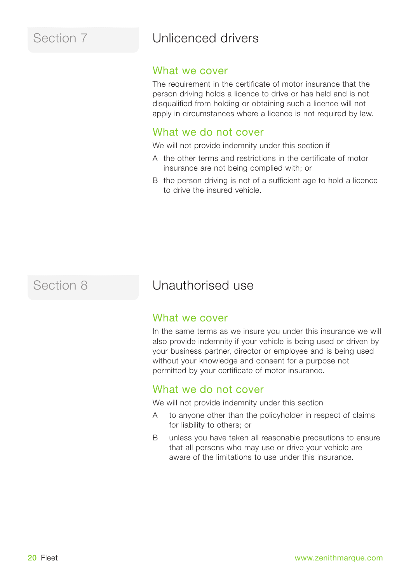## Section 7 Unlicenced drivers

## What we cover

The requirement in the certificate of motor insurance that the person driving holds a licence to drive or has held and is not disqualified from holding or obtaining such a licence will not apply in circumstances where a licence is not required by law.

## What we do not cover

We will not provide indemnity under this section if

- A the other terms and restrictions in the certificate of motor insurance are not being complied with; or
- B the person driving is not of a sufficient age to hold a licence to drive the insured vehicle.

## Section 8 **Unauthorised use**

## What we cover

In the same terms as we insure you under this insurance we will also provide indemnity if your vehicle is being used or driven by your business partner, director or employee and is being used without your knowledge and consent for a purpose not permitted by your certificate of motor insurance.

## What we do not cover

We will not provide indemnity under this section

- A to anyone other than the policyholder in respect of claims for liability to others; or
- B unless you have taken all reasonable precautions to ensure that all persons who may use or drive your vehicle are aware of the limitations to use under this insurance.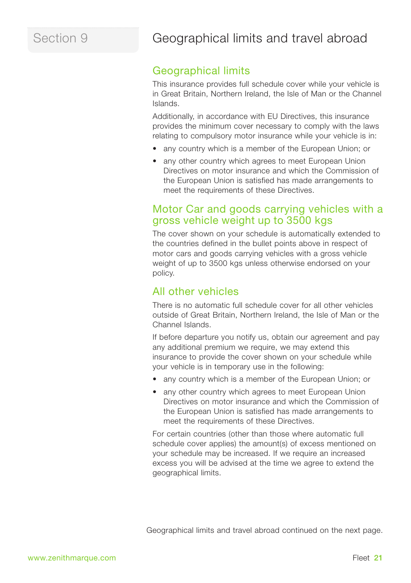## Section 9 **Geographical limits and travel abroad**

## Geographical limits

This insurance provides full schedule cover while your vehicle is in Great Britain, Northern Ireland, the Isle of Man or the Channel Islands.

Additionally, in accordance with EU Directives, this insurance provides the minimum cover necessary to comply with the laws relating to compulsory motor insurance while your vehicle is in:

- any country which is a member of the European Union; or
- any other country which agrees to meet European Union Directives on motor insurance and which the Commission of the European Union is satisfied has made arrangements to meet the requirements of these Directives.

## Motor Car and goods carrying vehicles with a gross vehicle weight up to 3500 kgs

The cover shown on your schedule is automatically extended to the countries defined in the bullet points above in respect of motor cars and goods carrying vehicles with a gross vehicle weight of up to 3500 kgs unless otherwise endorsed on your policy.

## All other vehicles

There is no automatic full schedule cover for all other vehicles outside of Great Britain, Northern Ireland, the Isle of Man or the Channel Islands.

If before departure you notify us, obtain our agreement and pay any additional premium we require, we may extend this insurance to provide the cover shown on your schedule while your vehicle is in temporary use in the following:

- any country which is a member of the European Union; or
- any other country which agrees to meet European Union Directives on motor insurance and which the Commission of the European Union is satisfied has made arrangements to meet the requirements of these Directives.

For certain countries (other than those where automatic full schedule cover applies) the amount(s) of excess mentioned on your schedule may be increased. If we require an increased excess you will be advised at the time we agree to extend the geographical limits.

Geographical limits and travel abroad continued on the next page.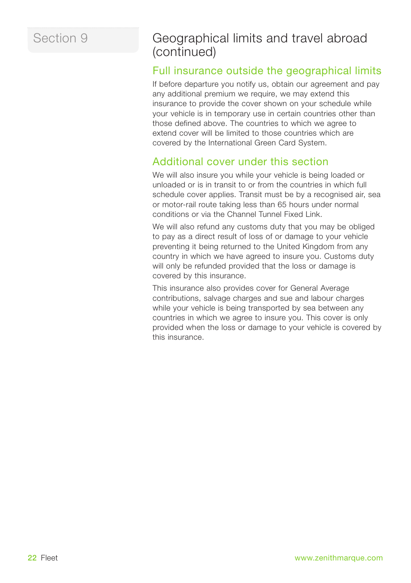## Section 9

## Geographical limits and travel abroad (continued)

## Full insurance outside the geographical limits

If before departure you notify us, obtain our agreement and pay any additional premium we require, we may extend this insurance to provide the cover shown on your schedule while your vehicle is in temporary use in certain countries other than those defined above. The countries to which we agree to extend cover will be limited to those countries which are covered by the International Green Card System.

## Additional cover under this section

We will also insure you while your vehicle is being loaded or unloaded or is in transit to or from the countries in which full schedule cover applies. Transit must be by a recognised air, sea or motor-rail route taking less than 65 hours under normal conditions or via the Channel Tunnel Fixed Link.

We will also refund any customs duty that you may be obliged to pay as a direct result of loss of or damage to your vehicle preventing it being returned to the United Kingdom from any country in which we have agreed to insure you. Customs duty will only be refunded provided that the loss or damage is covered by this insurance.

This insurance also provides cover for General Average contributions, salvage charges and sue and labour charges while your vehicle is being transported by sea between any countries in which we agree to insure you. This cover is only provided when the loss or damage to your vehicle is covered by this insurance.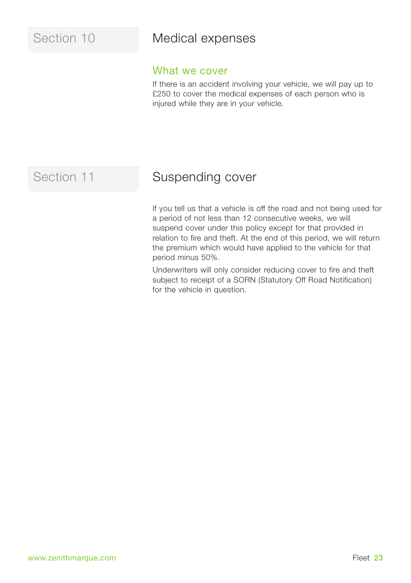## Section 10 **Medical expenses**

## What we cover

If there is an accident involving your vehicle, we will pay up to £250 to cover the medical expenses of each person who is injured while they are in your vehicle.

## Section 11 Suspending cover

If you tell us that a vehicle is off the road and not being used for a period of not less than 12 consecutive weeks, we will suspend cover under this policy except for that provided in relation to fire and theft. At the end of this period, we will return the premium which would have applied to the vehicle for that period minus 50%.

Underwriters will only consider reducing cover to fire and theft subject to receipt of a SORN (Statutory Off Road Notification) for the vehicle in question.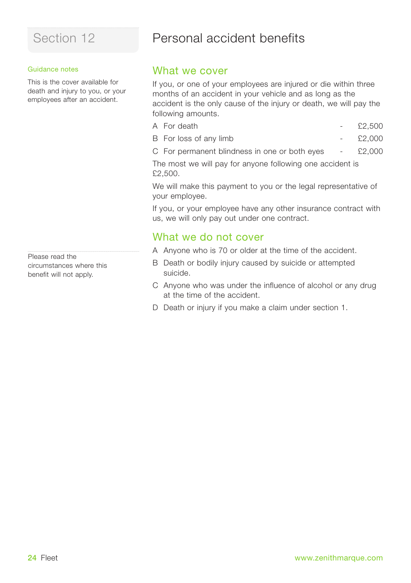### Guidance notes

This is the cover available for death and injury to you, or your employees after an accident.

Please read the circumstances where this benefit will not apply.

## Section 12 **Personal accident benefits**

## What we cover

If you, or one of your employees are injured or die within three months of an accident in your vehicle and as long as the accident is the only cause of the injury or death, we will pay the following amounts.

- $\overline{A}$  For death  $\overline{E2.500}$
- B For loss of any limb £2,000
- C For permanent blindness in one or both eyes £2,000

The most we will pay for anyone following one accident is £2,500.

We will make this payment to you or the legal representative of your employee.

If you, or your employee have any other insurance contract with us, we will only pay out under one contract.

## What we do not cover

- A Anyone who is 70 or older at the time of the accident.
- B Death or bodily injury caused by suicide or attempted suicide.
- C Anyone who was under the influence of alcohol or any drug at the time of the accident.
- D Death or injury if you make a claim under section 1.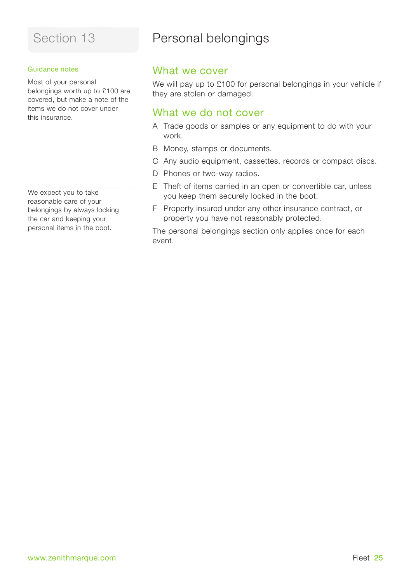### Guidance notes

Most of your personal belongings worth up to £100 are covered, but make a note of the items we do not cover under this insurance.

We expect you to take reasonable care of your belongings by always locking the car and keeping your personal items in the boot.

## Section 13 **Personal belongings**

## What we cover

We will pay up to £100 for personal belongings in your vehicle if they are stolen or damaged.

## What we do not cover

- A Trade goods or samples or any equipment to do with your work.
- B Money, stamps or documents.
- C Any audio equipment, cassettes, records or compact discs.
- D Phones or two-way radios.
- E Theft of items carried in an open or convertible car, unless you keep them securely locked in the boot.
- F Property insured under any other insurance contract, or property you have not reasonably protected.

The personal belongings section only applies once for each event.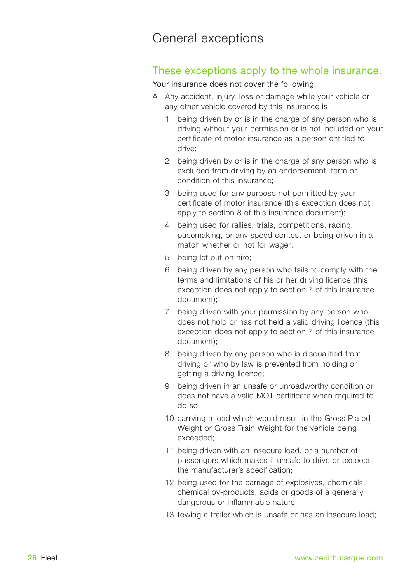## General exceptions

## These exceptions apply to the whole insurance.

Your insurance does not cover the following.

- A Any accident, injury, loss or damage while your vehicle or any other vehicle covered by this insurance is
	- 1 being driven by or is in the charge of any person who is driving without your permission or is not included on your certificate of motor insurance as a person entitled to drive;
	- 2 being driven by or is in the charge of any person who is excluded from driving by an endorsement, term or condition of this insurance;
	- 3 being used for any purpose not permitted by your certificate of motor insurance (this exception does not apply to section 8 of this insurance document);
	- 4 being used for rallies, trials, competitions, racing, pacemaking, or any speed contest or being driven in a match whether or not for wager;
	- 5 being let out on hire;
	- 6 being driven by any person who fails to comply with the terms and limitations of his or her driving licence (this exception does not apply to section 7 of this insurance document);
	- 7 being driven with your permission by any person who does not hold or has not held a valid driving licence (this exception does not apply to section 7 of this insurance document);
	- 8 being driven by any person who is disqualified from driving or who by law is prevented from holding or getting a driving licence;
	- 9 being driven in an unsafe or unroadworthy condition or does not have a valid MOT certificate when required to do so;
	- 10 carrying a load which would result in the Gross Plated Weight or Gross Train Weight for the vehicle being exceeded;
	- 11 being driven with an insecure load, or a number of passengers which makes it unsafe to drive or exceeds the manufacturer's specification;
	- 12 being used for the carriage of explosives, chemicals, chemical by-products, acids or goods of a generally dangerous or inflammable nature;
	- 13 towing a trailer which is unsafe or has an insecure load;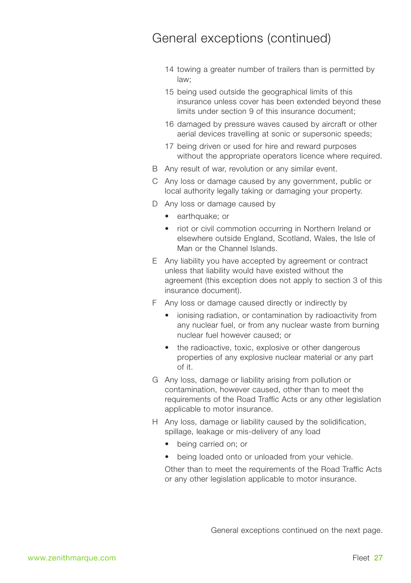## General exceptions (continued)

- 14 towing a greater number of trailers than is permitted by law;
- 15 being used outside the geographical limits of this insurance unless cover has been extended beyond these limits under section 9 of this insurance document;
- 16 damaged by pressure waves caused by aircraft or other aerial devices travelling at sonic or supersonic speeds;
- 17 being driven or used for hire and reward purposes without the appropriate operators licence where required.
- B Any result of war, revolution or any similar event.
- C Any loss or damage caused by any government, public or local authority legally taking or damaging your property.
- D Any loss or damage caused by
	- earthquake; or
	- riot or civil commotion occurring in Northern Ireland or elsewhere outside England, Scotland, Wales, the Isle of Man or the Channel Islands.
- E Any liability you have accepted by agreement or contract unless that liability would have existed without the agreement (this exception does not apply to section 3 of this insurance document).
- F Any loss or damage caused directly or indirectly by
	- ionising radiation, or contamination by radioactivity from any nuclear fuel, or from any nuclear waste from burning nuclear fuel however caused; or
	- the radioactive, toxic, explosive or other dangerous properties of any explosive nuclear material or any part of it.
- G Any loss, damage or liability arising from pollution or contamination, however caused, other than to meet the requirements of the Road Traffic Acts or any other legislation applicable to motor insurance.
- H Any loss, damage or liability caused by the solidification, spillage, leakage or mis-delivery of any load
	- being carried on; or
	- being loaded onto or unloaded from your vehicle.

Other than to meet the requirements of the Road Traffic Acts or any other legislation applicable to motor insurance.

General exceptions continued on the next page.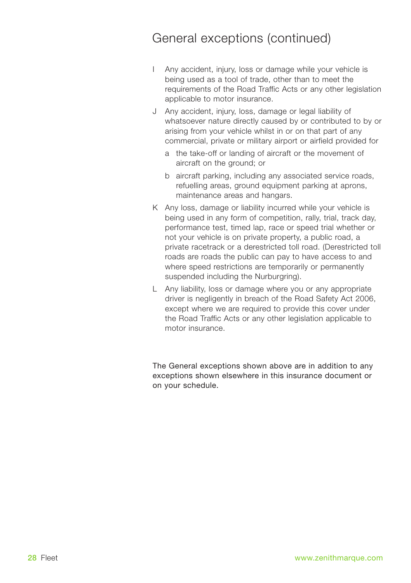## General exceptions (continued)

- I Any accident, injury, loss or damage while your vehicle is being used as a tool of trade, other than to meet the requirements of the Road Traffic Acts or any other legislation applicable to motor insurance.
- J Any accident, injury, loss, damage or legal liability of whatsoever nature directly caused by or contributed to by or arising from your vehicle whilst in or on that part of any commercial, private or military airport or airfield provided for
	- a the take-off or landing of aircraft or the movement of aircraft on the ground; or
	- b aircraft parking, including any associated service roads, refuelling areas, ground equipment parking at aprons, maintenance areas and hangars.
- K Any loss, damage or liability incurred while your vehicle is being used in any form of competition, rally, trial, track day, performance test, timed lap, race or speed trial whether or not your vehicle is on private property, a public road, a private racetrack or a derestricted toll road. (Derestricted toll roads are roads the public can pay to have access to and where speed restrictions are temporarily or permanently suspended including the Nurburgring).
- L Any liability, loss or damage where you or any appropriate driver is negligently in breach of the Road Safety Act 2006, except where we are required to provide this cover under the Road Traffic Acts or any other legislation applicable to motor insurance.

The General exceptions shown above are in addition to any exceptions shown elsewhere in this insurance document or on your schedule.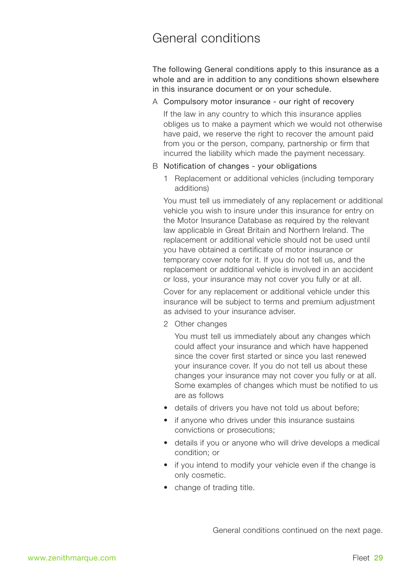## General conditions

The following General conditions apply to this insurance as a whole and are in addition to any conditions shown elsewhere in this insurance document or on your schedule.

A Compulsory motor insurance - our right of recovery

If the law in any country to which this insurance applies obliges us to make a payment which we would not otherwise have paid, we reserve the right to recover the amount paid from you or the person, company, partnership or firm that incurred the liability which made the payment necessary.

### B Notification of changes - your obligations

1 Replacement or additional vehicles (including temporary additions)

You must tell us immediately of any replacement or additional vehicle you wish to insure under this insurance for entry on the Motor Insurance Database as required by the relevant law applicable in Great Britain and Northern Ireland. The replacement or additional vehicle should not be used until you have obtained a certificate of motor insurance or temporary cover note for it. If you do not tell us, and the replacement or additional vehicle is involved in an accident or loss, your insurance may not cover you fully or at all.

Cover for any replacement or additional vehicle under this insurance will be subject to terms and premium adjustment as advised to your insurance adviser.

2 Other changes

You must tell us immediately about any changes which could affect your insurance and which have happened since the cover first started or since you last renewed your insurance cover. If you do not tell us about these changes your insurance may not cover you fully or at all. Some examples of changes which must be notified to us are as follows

- details of drivers you have not told us about before;
- if anyone who drives under this insurance sustains convictions or prosecutions;
- details if you or anyone who will drive develops a medical condition; or
- if you intend to modify your vehicle even if the change is only cosmetic.
- change of trading title.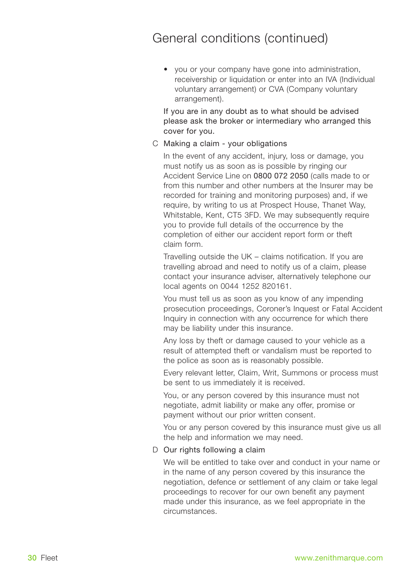• you or your company have gone into administration, receivership or liquidation or enter into an IVA (Individual voluntary arrangement) or CVA (Company voluntary arrangement).

If you are in any doubt as to what should be advised please ask the broker or intermediary who arranged this cover for you.

C Making a claim - your obligations

In the event of any accident, injury, loss or damage, you must notify us as soon as is possible by ringing our Accident Service Line on 0800 072 2050 (calls made to or from this number and other numbers at the Insurer may be recorded for training and monitoring purposes) and, if we require, by writing to us at Prospect House, Thanet Way, Whitstable, Kent, CT5 3FD. We may subsequently require you to provide full details of the occurrence by the completion of either our accident report form or theft claim form.

Travelling outside the UK – claims notification. If you are travelling abroad and need to notify us of a claim, please contact your insurance adviser, alternatively telephone our local agents on 0044 1252 820161.

You must tell us as soon as you know of any impending prosecution proceedings, Coroner's Inquest or Fatal Accident Inquiry in connection with any occurrence for which there may be liability under this insurance.

Any loss by theft or damage caused to your vehicle as a result of attempted theft or vandalism must be reported to the police as soon as is reasonably possible.

Every relevant letter, Claim, Writ, Summons or process must be sent to us immediately it is received.

You, or any person covered by this insurance must not negotiate, admit liability or make any offer, promise or payment without our prior written consent.

You or any person covered by this insurance must give us all the help and information we may need.

### D Our rights following a claim

We will be entitled to take over and conduct in your name or in the name of any person covered by this insurance the negotiation, defence or settlement of any claim or take legal proceedings to recover for our own benefit any payment made under this insurance, as we feel appropriate in the circumstances.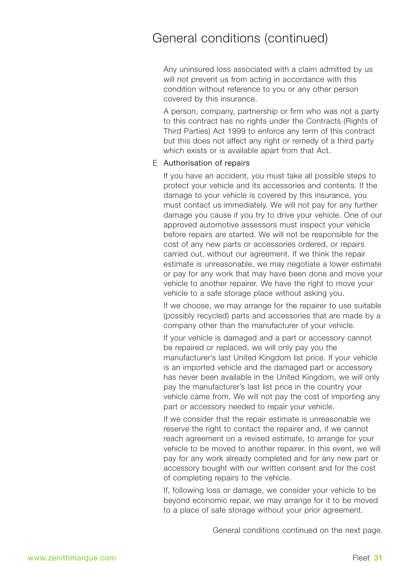Any uninsured loss associated with a claim admitted by us will not prevent us from acting in accordance with this condition without reference to you or any other person covered by this insurance.

A person, company, partnership or firm who was not a party to this contract has no rights under the Contracts (Rights of Third Parties) Act 1999 to enforce any term of this contract but this does not affect any right or remedy of a third party which exists or is available apart from that Act.

### E Authorisation of repairs

If you have an accident, you must take all possible steps to protect your vehicle and its accessories and contents. If the damage to your vehicle is covered by this insurance, you must contact us immediately. We will not pay for any further damage you cause if you try to drive your vehicle. One of our approved automotive assessors must inspect your vehicle before repairs are started. We will not be responsible for the cost of any new parts or accessories ordered, or repairs carried out, without our agreement. If we think the repair estimate is unreasonable, we may negotiate a lower estimate or pay for any work that may have been done and move your vehicle to another repairer. We have the right to move your vehicle to a safe storage place without asking you.

If we choose, we may arrange for the repairer to use suitable (possibly recycled) parts and accessories that are made by a company other than the manufacturer of your vehicle.

If your vehicle is damaged and a part or accessory cannot be repaired or replaced, we will only pay you the manufacturer's last United Kingdom list price. If your vehicle is an imported vehicle and the damaged part or accessory has never been available in the United Kingdom, we will only pay the manufacturer's last list price in the country your vehicle came from. We will not pay the cost of importing any part or accessory needed to repair your vehicle.

If we consider that the repair estimate is unreasonable we reserve the right to contact the repairer and, if we cannot reach agreement on a revised estimate, to arrange for your vehicle to be moved to another repairer. In this event, we will pay for any work already completed and for any new part or accessory bought with our written consent and for the cost of completing repairs to the vehicle.

If, following loss or damage, we consider your vehicle to be beyond economic repair, we may arrange for it to be moved to a place of safe storage without your prior agreement.

General conditions continued on the next page.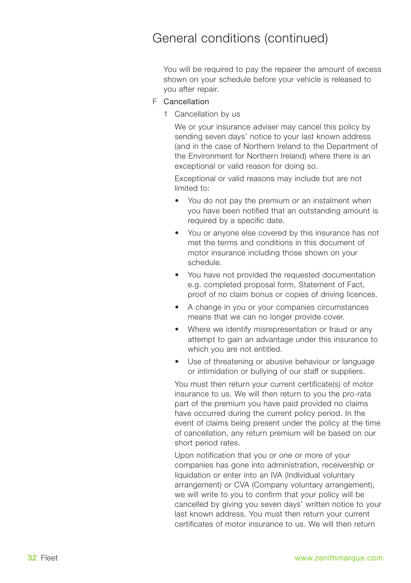You will be required to pay the repairer the amount of excess shown on your schedule before your vehicle is released to you after repair.

## F Cancellation

1 Cancellation by us

We or your insurance adviser may cancel this policy by sending seven days' notice to your last known address (and in the case of Northern Ireland to the Department of the Environment for Northern Ireland) where there is an exceptional or valid reason for doing so.

Exceptional or valid reasons may include but are not limited to:

- You do not pay the premium or an instalment when you have been notified that an outstanding amount is required by a specific date.
- You or anyone else covered by this insurance has not met the terms and conditions in this document of motor insurance including those shown on your schedule.
- You have not provided the requested documentation e.g. completed proposal form, Statement of Fact, proof of no claim bonus or copies of driving licences.
- A change in you or your companies circumstances means that we can no longer provide cover.
- Where we identify misrepresentation or fraud or any attempt to gain an advantage under this insurance to which you are not entitled.
- Use of threatening or abusive behaviour or language or intimidation or bullying of our staff or suppliers.

You must then return your current certificate(s) of motor insurance to us. We will then return to you the pro-rata part of the premium you have paid provided no claims have occurred during the current policy period. In the event of claims being present under the policy at the time of cancellation, any return premium will be based on our short period rates.

Upon notification that you or one or more of your companies has gone into administration, receivership or liquidation or enter into an IVA (Individual voluntary arrangement) or CVA (Company voluntary arrangement), we will write to you to confirm that your policy will be cancelled by giving you seven days' written notice to your last known address. You must then return your current certificates of motor insurance to us. We will then return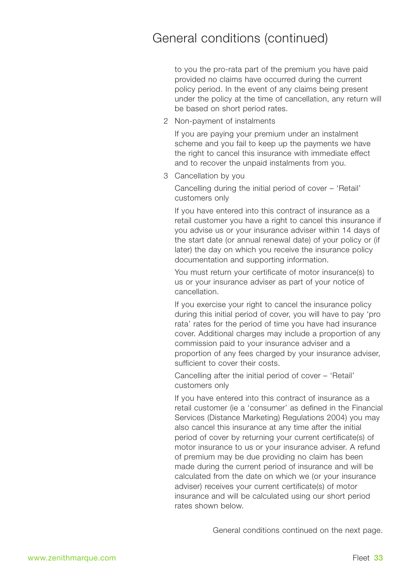to you the pro-rata part of the premium you have paid provided no claims have occurred during the current policy period. In the event of any claims being present under the policy at the time of cancellation, any return will be based on short period rates.

2 Non-payment of instalments

If you are paying your premium under an instalment scheme and you fail to keep up the payments we have the right to cancel this insurance with immediate effect and to recover the unpaid instalments from you.

3 Cancellation by you

Cancelling during the initial period of cover – 'Retail' customers only

If you have entered into this contract of insurance as a retail customer you have a right to cancel this insurance if you advise us or your insurance adviser within 14 days of the start date (or annual renewal date) of your policy or (if later) the day on which you receive the insurance policy documentation and supporting information.

You must return your certificate of motor insurance(s) to us or your insurance adviser as part of your notice of cancellation.

If you exercise your right to cancel the insurance policy during this initial period of cover, you will have to pay 'pro rata' rates for the period of time you have had insurance cover. Additional charges may include a proportion of any commission paid to your insurance adviser and a proportion of any fees charged by your insurance adviser, sufficient to cover their costs.

Cancelling after the initial period of cover – 'Retail' customers only

If you have entered into this contract of insurance as a retail customer (ie a 'consumer' as defined in the Financial Services (Distance Marketing) Regulations 2004) you may also cancel this insurance at any time after the initial period of cover by returning your current certificate(s) of motor insurance to us or your insurance adviser. A refund of premium may be due providing no claim has been made during the current period of insurance and will be calculated from the date on which we (or your insurance adviser) receives your current certificate(s) of motor insurance and will be calculated using our short period rates shown below.

General conditions continued on the next page.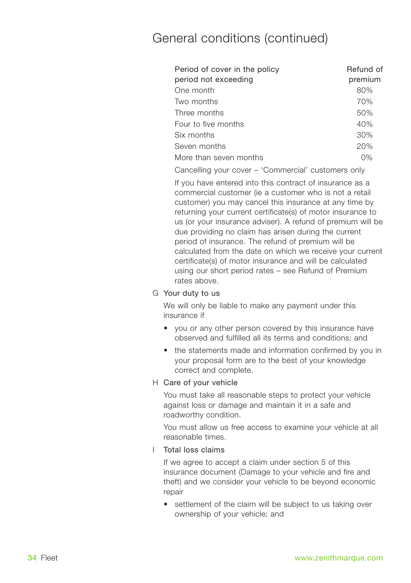| Refund of<br>premium |
|----------------------|
| 80%                  |
| 70%                  |
| 50%                  |
| 40%                  |
| 30%                  |
| 20%                  |
| 0%                   |
|                      |

Cancelling your cover – 'Commercial' customers only

If you have entered into this contract of insurance as a commercial customer (ie a customer who is not a retail customer) you may cancel this insurance at any time by returning your current certificate(s) of motor insurance to us (or your insurance adviser). A refund of premium will be due providing no claim has arisen during the current period of insurance. The refund of premium will be calculated from the date on which we receive your current certificate(s) of motor insurance and will be calculated using our short period rates – see Refund of Premium rates above.

### G Your duty to us

We will only be liable to make any payment under this insurance if

- you or any other person covered by this insurance have observed and fulfilled all its terms and conditions; and
- the statements made and information confirmed by you in your proposal form are to the best of your knowledge correct and complete.

## H Care of your vehicle

You must take all reasonable steps to protect your vehicle against loss or damage and maintain it in a safe and roadworthy condition.

You must allow us free access to examine your vehicle at all reasonable times.

### I Total loss claims

If we agree to accept a claim under section 5 of this insurance document (Damage to your vehicle and fire and theft) and we consider your vehicle to be beyond economic repair

• settlement of the claim will be subject to us taking over ownership of your vehicle; and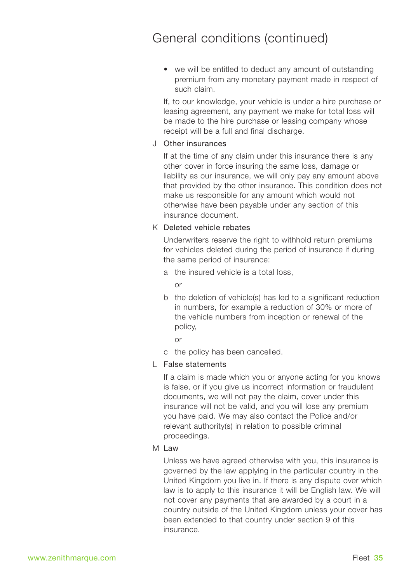• we will be entitled to deduct any amount of outstanding premium from any monetary payment made in respect of such claim.

If, to our knowledge, your vehicle is under a hire purchase or leasing agreement, any payment we make for total loss will be made to the hire purchase or leasing company whose receipt will be a full and final discharge.

### J Other insurances

If at the time of any claim under this insurance there is any other cover in force insuring the same loss, damage or liability as our insurance, we will only pay any amount above that provided by the other insurance. This condition does not make us responsible for any amount which would not otherwise have been payable under any section of this insurance document.

### K Deleted vehicle rebates

Underwriters reserve the right to withhold return premiums for vehicles deleted during the period of insurance if during the same period of insurance:

a the insured vehicle is a total loss,

or

- b the deletion of vehicle(s) has led to a significant reduction in numbers, for example a reduction of 30% or more of the vehicle numbers from inception or renewal of the policy,
	- or
- c the policy has been cancelled.

### L False statements

If a claim is made which you or anyone acting for you knows is false, or if you give us incorrect information or fraudulent documents, we will not pay the claim, cover under this insurance will not be valid, and you will lose any premium you have paid. We may also contact the Police and/or relevant authority(s) in relation to possible criminal proceedings.

### M Law

Unless we have agreed otherwise with you, this insurance is governed by the law applying in the particular country in the United Kingdom you live in. If there is any dispute over which law is to apply to this insurance it will be English law. We will not cover any payments that are awarded by a court in a country outside of the United Kingdom unless your cover has been extended to that country under section 9 of this insurance.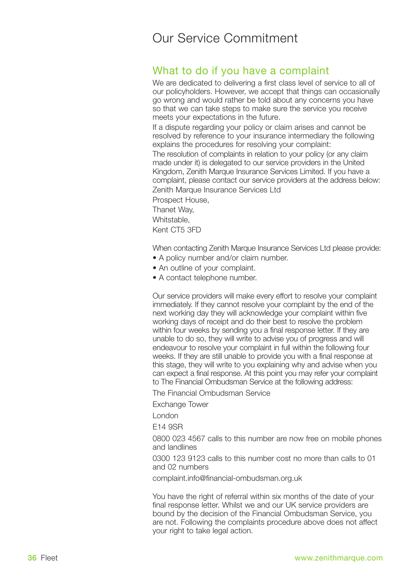## What to do if you have a complaint

We are dedicated to delivering a first class level of service to all of our policyholders. However, we accept that things can occasionally go wrong and would rather be told about any concerns you have so that we can take steps to make sure the service you receive meets your expectations in the future.

If a dispute regarding your policy or claim arises and cannot be resolved by reference to your insurance intermediary the following explains the procedures for resolving your complaint:

The resolution of complaints in relation to your policy (or any claim made under it) is delegated to our service providers in the United Kingdom, Zenith Marque Insurance Services Limited. If you have a complaint, please contact our service providers at the address below: Zenith Marque Insurance Services Ltd

Prospect House, Thanet Way,

Whitstable,

Kent CT5 3FD

When contacting Zenith Marque Insurance Services Ltd please provide:

- A policy number and/or claim number.
- An outline of your complaint.
- A contact telephone number.

Our service providers will make every effort to resolve your complaint immediately. If they cannot resolve your complaint by the end of the next working day they will acknowledge your complaint within five working days of receipt and do their best to resolve the problem within four weeks by sending you a final response letter. If they are unable to do so, they will write to advise you of progress and will endeavour to resolve your complaint in full within the following four weeks. If they are still unable to provide you with a final response at this stage, they will write to you explaining why and advise when you can expect a final response. At this point you may refer your complaint to The Financial Ombudsman Service at the following address:

The Financial Ombudsman Service

Exchange Tower

London

E14 9SR

0800 023 4567 calls to this number are now free on mobile phones and landlines

0300 123 9123 calls to this number cost no more than calls to 01 and 02 numbers

complaint.info@financial-ombudsman.org.uk

You have the right of referral within six months of the date of your final response letter. Whilst we and our UK service providers are bound by the decision of the Financial Ombudsman Service, you are not. Following the complaints procedure above does not affect your right to take legal action.